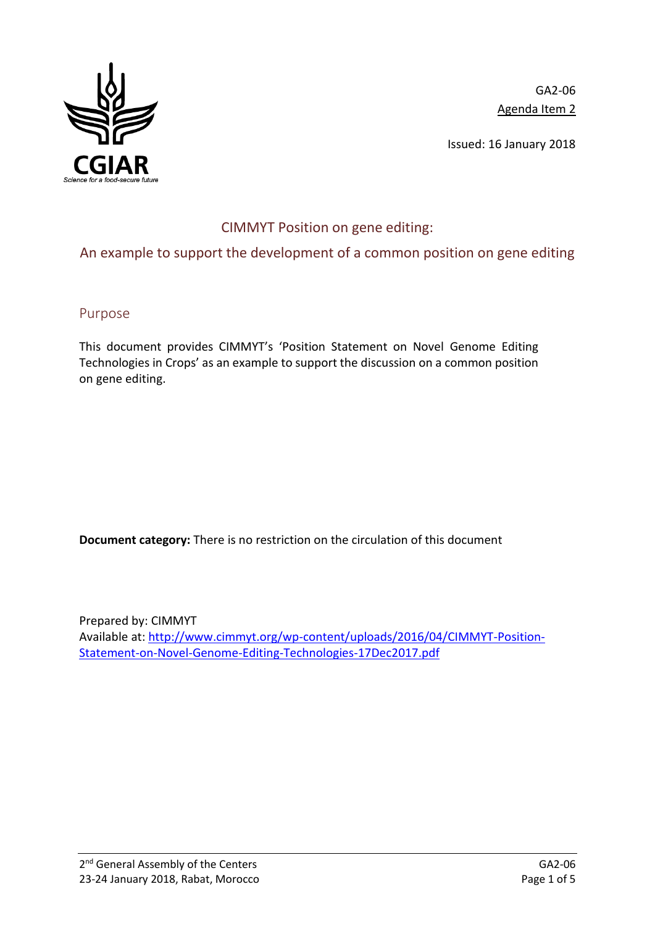

GA2-06 Agenda Item 2

Issued: 16 January 2018

# CIMMYT Position on gene editing:

## An example to support the development of a common position on gene editing

Purpose

This document provides CIMMYT's 'Position Statement on Novel Genome Editing Technologies in Crops' as an example to support the discussion on a common position on gene editing.

**Document category:** There is no restriction on the circulation of this document

Prepared by: CIMMYT Available at: [http://www.cimmyt.org/wp-content/uploads/2016/04/CIMMYT-Position-](http://www.cimmyt.org/wp-content/uploads/2016/04/CIMMYT-Position-Statement-on-Novel-Genome-Editing-Technologies-17Dec2017.pdf)[Statement-on-Novel-Genome-Editing-Technologies-17Dec2017.pdf](http://www.cimmyt.org/wp-content/uploads/2016/04/CIMMYT-Position-Statement-on-Novel-Genome-Editing-Technologies-17Dec2017.pdf)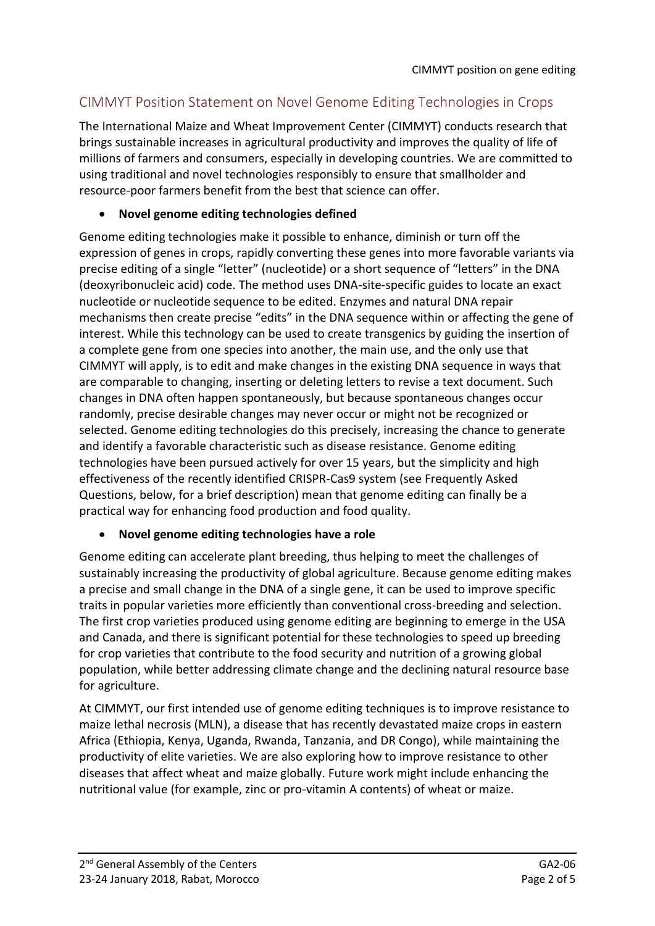## CIMMYT Position Statement on Novel Genome Editing Technologies in Crops

The International Maize and Wheat Improvement Center (CIMMYT) conducts research that brings sustainable increases in agricultural productivity and improves the quality of life of millions of farmers and consumers, especially in developing countries. We are committed to using traditional and novel technologies responsibly to ensure that smallholder and resource-poor farmers benefit from the best that science can offer.

#### • **Novel genome editing technologies defined**

Genome editing technologies make it possible to enhance, diminish or turn off the expression of genes in crops, rapidly converting these genes into more favorable variants via precise editing of a single "letter" (nucleotide) or a short sequence of "letters" in the DNA (deoxyribonucleic acid) code. The method uses DNA-site-specific guides to locate an exact nucleotide or nucleotide sequence to be edited. Enzymes and natural DNA repair mechanisms then create precise "edits" in the DNA sequence within or affecting the gene of interest. While this technology can be used to create transgenics by guiding the insertion of a complete gene from one species into another, the main use, and the only use that CIMMYT will apply, is to edit and make changes in the existing DNA sequence in ways that are comparable to changing, inserting or deleting letters to revise a text document. Such changes in DNA often happen spontaneously, but because spontaneous changes occur randomly, precise desirable changes may never occur or might not be recognized or selected. Genome editing technologies do this precisely, increasing the chance to generate and identify a favorable characteristic such as disease resistance. Genome editing technologies have been pursued actively for over 15 years, but the simplicity and high effectiveness of the recently identified CRISPR-Cas9 system (see Frequently Asked Questions, below, for a brief description) mean that genome editing can finally be a practical way for enhancing food production and food quality.

#### • **Novel genome editing technologies have a role**

Genome editing can accelerate plant breeding, thus helping to meet the challenges of sustainably increasing the productivity of global agriculture. Because genome editing makes a precise and small change in the DNA of a single gene, it can be used to improve specific traits in popular varieties more efficiently than conventional cross-breeding and selection. The first crop varieties produced using genome editing are beginning to emerge in the USA and Canada, and there is significant potential for these technologies to speed up breeding for crop varieties that contribute to the food security and nutrition of a growing global population, while better addressing climate change and the declining natural resource base for agriculture.

At CIMMYT, our first intended use of genome editing techniques is to improve resistance to maize lethal necrosis (MLN), a disease that has recently devastated maize crops in eastern Africa (Ethiopia, Kenya, Uganda, Rwanda, Tanzania, and DR Congo), while maintaining the productivity of elite varieties. We are also exploring how to improve resistance to other diseases that affect wheat and maize globally. Future work might include enhancing the nutritional value (for example, zinc or pro-vitamin A contents) of wheat or maize.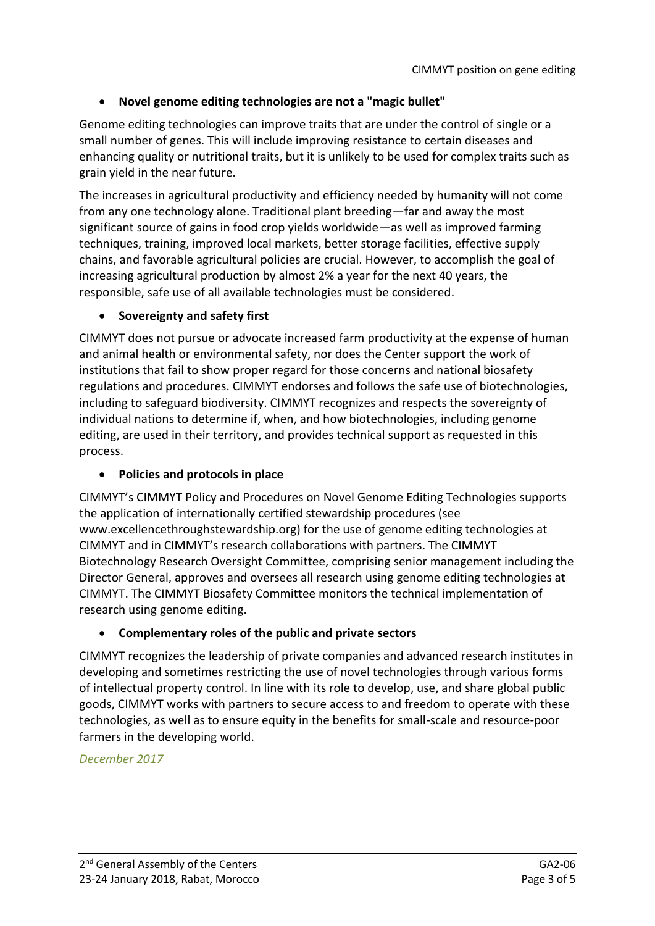## • **Novel genome editing technologies are not a "magic bullet"**

Genome editing technologies can improve traits that are under the control of single or a small number of genes. This will include improving resistance to certain diseases and enhancing quality or nutritional traits, but it is unlikely to be used for complex traits such as grain yield in the near future.

The increases in agricultural productivity and efficiency needed by humanity will not come from any one technology alone. Traditional plant breeding—far and away the most significant source of gains in food crop yields worldwide—as well as improved farming techniques, training, improved local markets, better storage facilities, effective supply chains, and favorable agricultural policies are crucial. However, to accomplish the goal of increasing agricultural production by almost 2% a year for the next 40 years, the responsible, safe use of all available technologies must be considered.

#### • **Sovereignty and safety first**

CIMMYT does not pursue or advocate increased farm productivity at the expense of human and animal health or environmental safety, nor does the Center support the work of institutions that fail to show proper regard for those concerns and national biosafety regulations and procedures. CIMMYT endorses and follows the safe use of biotechnologies, including to safeguard biodiversity. CIMMYT recognizes and respects the sovereignty of individual nations to determine if, when, and how biotechnologies, including genome editing, are used in their territory, and provides technical support as requested in this process.

#### • **Policies and protocols in place**

CIMMYT's CIMMYT Policy and Procedures on Novel Genome Editing Technologies supports the application of internationally certified stewardship procedures (see www.excellencethroughstewardship.org) for the use of genome editing technologies at CIMMYT and in CIMMYT's research collaborations with partners. The CIMMYT Biotechnology Research Oversight Committee, comprising senior management including the Director General, approves and oversees all research using genome editing technologies at CIMMYT. The CIMMYT Biosafety Committee monitors the technical implementation of research using genome editing.

#### • **Complementary roles of the public and private sectors**

CIMMYT recognizes the leadership of private companies and advanced research institutes in developing and sometimes restricting the use of novel technologies through various forms of intellectual property control. In line with its role to develop, use, and share global public goods, CIMMYT works with partners to secure access to and freedom to operate with these technologies, as well as to ensure equity in the benefits for small-scale and resource-poor farmers in the developing world.

*December 2017*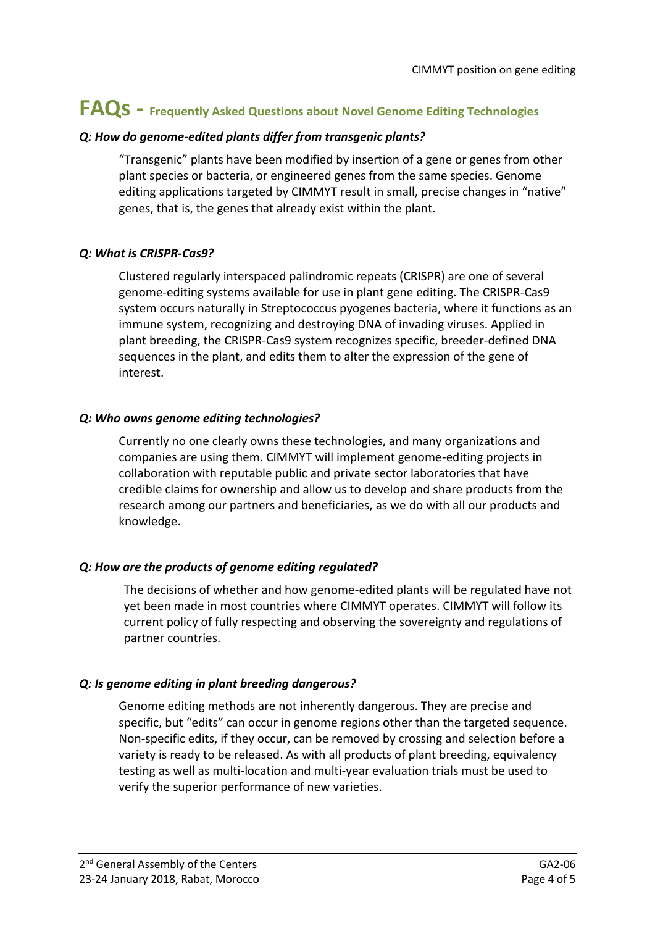# **FAQs - Frequently Asked Questions about Novel Genome Editing Technologies**

#### *Q: How do genome-edited plants differ from transgenic plants?*

"Transgenic" plants have been modified by insertion of a gene or genes from other plant species or bacteria, or engineered genes from the same species. Genome editing applications targeted by CIMMYT result in small, precise changes in "native" genes, that is, the genes that already exist within the plant.

#### *Q: What is CRISPR-Cas9?*

Clustered regularly interspaced palindromic repeats (CRISPR) are one of several genome-editing systems available for use in plant gene editing. The CRISPR-Cas9 system occurs naturally in Streptococcus pyogenes bacteria, where it functions as an immune system, recognizing and destroying DNA of invading viruses. Applied in plant breeding, the CRISPR-Cas9 system recognizes specific, breeder-defined DNA sequences in the plant, and edits them to alter the expression of the gene of interest.

#### *Q: Who owns genome editing technologies?*

Currently no one clearly owns these technologies, and many organizations and companies are using them. CIMMYT will implement genome-editing projects in collaboration with reputable public and private sector laboratories that have credible claims for ownership and allow us to develop and share products from the research among our partners and beneficiaries, as we do with all our products and knowledge.

#### *Q: How are the products of genome editing regulated?*

The decisions of whether and how genome-edited plants will be regulated have not yet been made in most countries where CIMMYT operates. CIMMYT will follow its current policy of fully respecting and observing the sovereignty and regulations of partner countries.

#### *Q: Is genome editing in plant breeding dangerous?*

Genome editing methods are not inherently dangerous. They are precise and specific, but "edits" can occur in genome regions other than the targeted sequence. Non-specific edits, if they occur, can be removed by crossing and selection before a variety is ready to be released. As with all products of plant breeding, equivalency testing as well as multi-location and multi-year evaluation trials must be used to verify the superior performance of new varieties.